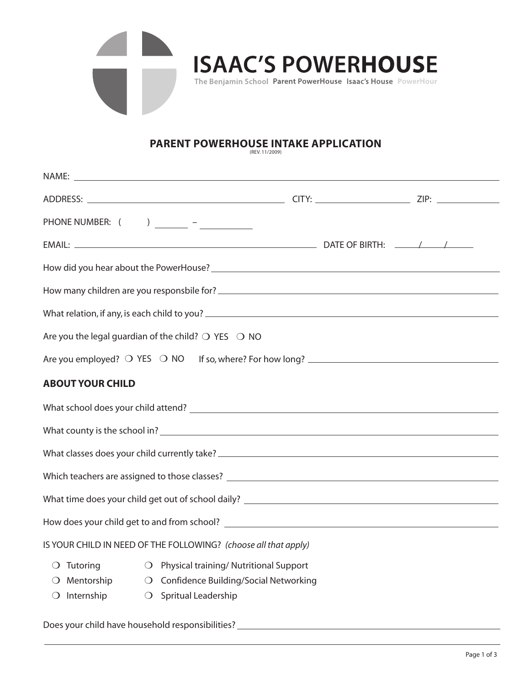

## **PARENT POWERHOUSE INTAKE APPLICATION** (REV. 11/2009)

|                         |                                                                       | NAME: <u>the contract of the contract of the contract of the contract of the contract of the contract of the contract of the contract of the contract of the contract of the contract of the contract of the contract of the con</u> |  |  |  |  |  |  |  |
|-------------------------|-----------------------------------------------------------------------|--------------------------------------------------------------------------------------------------------------------------------------------------------------------------------------------------------------------------------------|--|--|--|--|--|--|--|
|                         |                                                                       |                                                                                                                                                                                                                                      |  |  |  |  |  |  |  |
|                         |                                                                       |                                                                                                                                                                                                                                      |  |  |  |  |  |  |  |
|                         |                                                                       |                                                                                                                                                                                                                                      |  |  |  |  |  |  |  |
|                         |                                                                       |                                                                                                                                                                                                                                      |  |  |  |  |  |  |  |
|                         |                                                                       | How many children are you responsbile for?                                                                                                                                                                                           |  |  |  |  |  |  |  |
|                         |                                                                       |                                                                                                                                                                                                                                      |  |  |  |  |  |  |  |
|                         | Are you the legal guardian of the child? $\bigcirc$ YES $\bigcirc$ NO |                                                                                                                                                                                                                                      |  |  |  |  |  |  |  |
|                         |                                                                       |                                                                                                                                                                                                                                      |  |  |  |  |  |  |  |
| <b>ABOUT YOUR CHILD</b> |                                                                       |                                                                                                                                                                                                                                      |  |  |  |  |  |  |  |
|                         |                                                                       |                                                                                                                                                                                                                                      |  |  |  |  |  |  |  |
|                         |                                                                       |                                                                                                                                                                                                                                      |  |  |  |  |  |  |  |
|                         |                                                                       |                                                                                                                                                                                                                                      |  |  |  |  |  |  |  |
|                         |                                                                       |                                                                                                                                                                                                                                      |  |  |  |  |  |  |  |
|                         |                                                                       |                                                                                                                                                                                                                                      |  |  |  |  |  |  |  |
|                         |                                                                       |                                                                                                                                                                                                                                      |  |  |  |  |  |  |  |
|                         | IS YOUR CHILD IN NEED OF THE FOLLOWING? (choose all that apply)       |                                                                                                                                                                                                                                      |  |  |  |  |  |  |  |
| $\bigcirc$ Tutoring     |                                                                       | O Physical training/Nutritional Support                                                                                                                                                                                              |  |  |  |  |  |  |  |
| $\bigcirc$ Mentorship   |                                                                       | O Confidence Building/Social Networking                                                                                                                                                                                              |  |  |  |  |  |  |  |
| $\bigcirc$ Internship   | ○ Spritual Leadership                                                 |                                                                                                                                                                                                                                      |  |  |  |  |  |  |  |

Does your child have household responsibilities?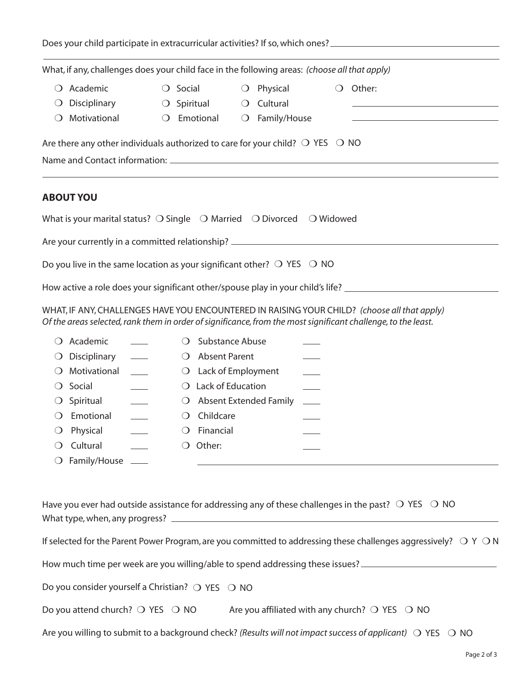| Does your child participate in extracurricular activities? If so, which ones?                            |                  |                        |            |              |                                              |
|----------------------------------------------------------------------------------------------------------|------------------|------------------------|------------|--------------|----------------------------------------------|
| What, if any, challenges does your child face in the following areas: (choose all that apply)            |                  |                        |            |              |                                              |
| Academic                                                                                                 | $\left( \right)$ | Social                 | $\cup$     | Physical     | Other:                                       |
| Disciplinary<br>$\cup$                                                                                   |                  | ○ Spiritual ○ Cultural |            |              | <u>production and the state of the state</u> |
| Motivational<br>$\left( \right)$                                                                         |                  | $\bigcirc$ Emotional   | $\bigcirc$ | Family/House |                                              |
|                                                                                                          |                  |                        |            |              |                                              |
| <b>ABOUT YOU</b>                                                                                         |                  |                        |            |              |                                              |
| What is your marital status? $\bigcirc$ Single $\bigcirc$ Married $\bigcirc$ Divorced $\bigcirc$ Widowed |                  |                        |            |              |                                              |
| Are your currently in a committed relationship? ________________________________                         |                  |                        |            |              |                                              |

Do you live in the same location as your significant other?  $\bigcirc$  YES  $\bigcirc$  NO

How active a role does your significant other/spouse play in your child's life? \_\_\_\_\_\_\_\_\_\_\_\_\_\_\_\_\_\_\_\_\_\_\_\_\_\_\_\_\_\_

WHAT, IF ANY, CHALLENGES HAVE YOU ENCOUNTERED IN RAISING YOUR CHILD? *(choose all that apply) Of the areas selected, rank them in order of significance, from the most significant challenge, to the least.*

|                  | Academic                |                  | Substance Abuse                   |  |
|------------------|-------------------------|------------------|-----------------------------------|--|
|                  | $\bigcirc$ Disciplinary | $\left( \right)$ | <b>Absent Parent</b>              |  |
| $\left( \right)$ | Motivational            |                  | $\bigcirc$ Lack of Employment     |  |
| $\left( \right)$ | Social                  |                  | Lack of Education                 |  |
| $\cup$           | Spiritual               |                  | $\bigcirc$ Absent Extended Family |  |
|                  | Emotional               |                  | Childcare                         |  |
| $\cup$           | Physical                | $\left( \right)$ | Financial                         |  |
|                  | Cultural                |                  | Other:                            |  |
| $\Omega$         | Family/House            |                  |                                   |  |

| Have you ever had outside assistance for addressing any of these challenges in the past? $\bigcirc$ YES $\bigcirc$ NO |  |
|-----------------------------------------------------------------------------------------------------------------------|--|
| What type, when, any progress?                                                                                        |  |

| If selected for the Parent Power Program, are you committed to addressing these challenges aggressively? $OY$ ON |  |  |  |
|------------------------------------------------------------------------------------------------------------------|--|--|--|
|                                                                                                                  |  |  |  |

How much time per week are you willing/able to spend addressing these issues?

Do you consider yourself a Christian?  $\bigcirc$  YES  $\bigcirc$  NO

| Are you affiliated with any church? $\bigcirc$ YES $\bigcirc$ NO | Do you attend church? $\bigcirc$ YES $\bigcirc$ NO |  |  |  |
|------------------------------------------------------------------|----------------------------------------------------|--|--|--|
|------------------------------------------------------------------|----------------------------------------------------|--|--|--|

Are you willing to submit to a background check? *(Results will not impact success of applicant)*  $\bigcirc$  YES  $\bigcirc$  NO